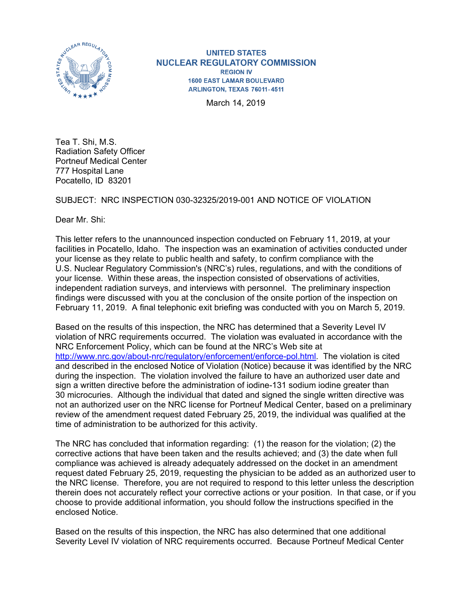

**UNITED STATES NUCLEAR REGULATORY COMMISSION REGION IV 1600 EAST LAMAR BOULEVARD** ARLINGTON, TEXAS 76011-4511

March 14, 2019

Tea T. Shi, M.S. Radiation Safety Officer Portneuf Medical Center 777 Hospital Lane Pocatello, ID 83201

SUBJECT: NRC INSPECTION 030-32325/2019-001 AND NOTICE OF VIOLATION

Dear Mr. Shi:

This letter refers to the unannounced inspection conducted on February 11, 2019, at your facilities in Pocatello, Idaho. The inspection was an examination of activities conducted under your license as they relate to public health and safety, to confirm compliance with the U.S. Nuclear Regulatory Commission's (NRC's) rules, regulations, and with the conditions of your license. Within these areas, the inspection consisted of observations of activities, independent radiation surveys, and interviews with personnel. The preliminary inspection findings were discussed with you at the conclusion of the onsite portion of the inspection on February 11, 2019. A final telephonic exit briefing was conducted with you on March 5, 2019.

Based on the results of this inspection, the NRC has determined that a Severity Level IV violation of NRC requirements occurred. The violation was evaluated in accordance with the NRC Enforcement Policy, which can be found at the NRC's Web site at http://www.nrc.gov/about-nrc/regulatory/enforcement/enforce-pol.html. The violation is cited and described in the enclosed Notice of Violation (Notice) because it was identified by the NRC during the inspection. The violation involved the failure to have an authorized user date and sign a written directive before the administration of iodine-131 sodium iodine greater than 30 microcuries. Although the individual that dated and signed the single written directive was not an authorized user on the NRC license for Portneuf Medical Center, based on a preliminary review of the amendment request dated February 25, 2019, the individual was qualified at the time of administration to be authorized for this activity.

The NRC has concluded that information regarding: (1) the reason for the violation; (2) the corrective actions that have been taken and the results achieved; and (3) the date when full compliance was achieved is already adequately addressed on the docket in an amendment request dated February 25, 2019, requesting the physician to be added as an authorized user to the NRC license. Therefore, you are not required to respond to this letter unless the description therein does not accurately reflect your corrective actions or your position. In that case, or if you choose to provide additional information, you should follow the instructions specified in the enclosed Notice.

Based on the results of this inspection, the NRC has also determined that one additional Severity Level IV violation of NRC requirements occurred. Because Portneuf Medical Center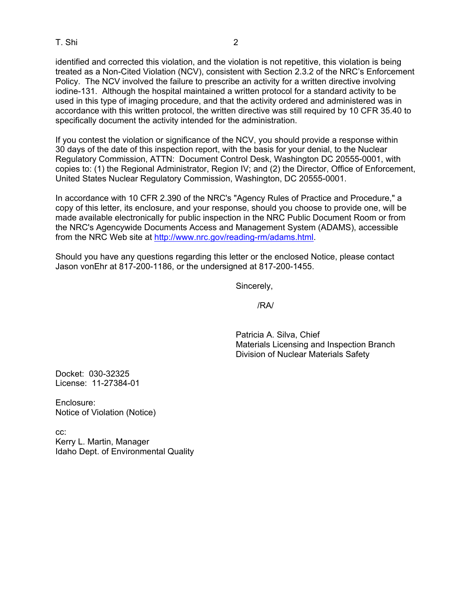## T. Shi 2

identified and corrected this violation, and the violation is not repetitive, this violation is being treated as a Non-Cited Violation (NCV), consistent with Section 2.3.2 of the NRC's Enforcement Policy. The NCV involved the failure to prescribe an activity for a written directive involving iodine-131. Although the hospital maintained a written protocol for a standard activity to be used in this type of imaging procedure, and that the activity ordered and administered was in accordance with this written protocol, the written directive was still required by 10 CFR 35.40 to specifically document the activity intended for the administration.

If you contest the violation or significance of the NCV, you should provide a response within 30 days of the date of this inspection report, with the basis for your denial, to the Nuclear Regulatory Commission, ATTN: Document Control Desk, Washington DC 20555-0001, with copies to: (1) the Regional Administrator, Region IV; and (2) the Director, Office of Enforcement, United States Nuclear Regulatory Commission, Washington, DC 20555-0001.

In accordance with 10 CFR 2.390 of the NRC's "Agency Rules of Practice and Procedure," a copy of this letter, its enclosure, and your response, should you choose to provide one, will be made available electronically for public inspection in the NRC Public Document Room or from the NRC's Agencywide Documents Access and Management System (ADAMS), accessible from the NRC Web site at http://www.nrc.gov/reading-rm/adams.html.

Should you have any questions regarding this letter or the enclosed Notice, please contact Jason vonEhr at 817-200-1186, or the undersigned at 817-200-1455.

Sincerely,

/RA/

 Patricia A. Silva, Chief Materials Licensing and Inspection Branch Division of Nuclear Materials Safety

Docket: 030-32325 License: 11-27384-01

Enclosure: Notice of Violation (Notice)

cc: Kerry L. Martin, Manager Idaho Dept. of Environmental Quality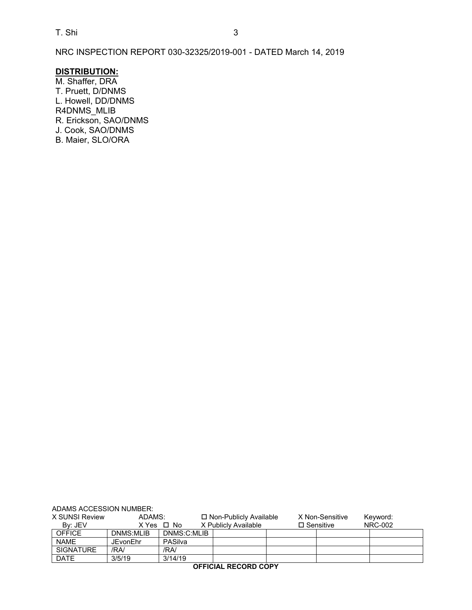NRC INSPECTION REPORT 030-32325/2019-001 - DATED March 14, 2019

## **DISTRIBUTION:**

M. Shaffer, DRA T. Pruett, D/DNMS L. Howell, DD/DNMS R4DNMS\_MLIB R. Erickson, SAO/DNMS J. Cook, SAO/DNMS B. Maier, SLO/ORA

| ADAMS ACCESSION NUMBER:     |                 |             |                          |                      |  |                     |  |  |          |  |
|-----------------------------|-----------------|-------------|--------------------------|----------------------|--|---------------------|--|--|----------|--|
| X SUNSI Review              | ADAMS:          |             | □ Non-Publicly Available |                      |  | X Non-Sensitive     |  |  | Keyword: |  |
| By: JEV                     |                 | X Yes □ No  |                          | X Publicly Available |  | $\square$ Sensitive |  |  | NRC-002  |  |
| <b>OFFICE</b>               | DNMS:MLIB       | DNMS:C:MLIB |                          |                      |  |                     |  |  |          |  |
| <b>NAME</b>                 | <b>JEvonEhr</b> | PASilva     |                          |                      |  |                     |  |  |          |  |
| <b>SIGNATURE</b>            | /RA/            | /RA/        |                          |                      |  |                     |  |  |          |  |
| <b>DATE</b>                 | 3/5/19          | 3/14/19     |                          |                      |  |                     |  |  |          |  |
| <b>OFFICIAL RECORD COPY</b> |                 |             |                          |                      |  |                     |  |  |          |  |